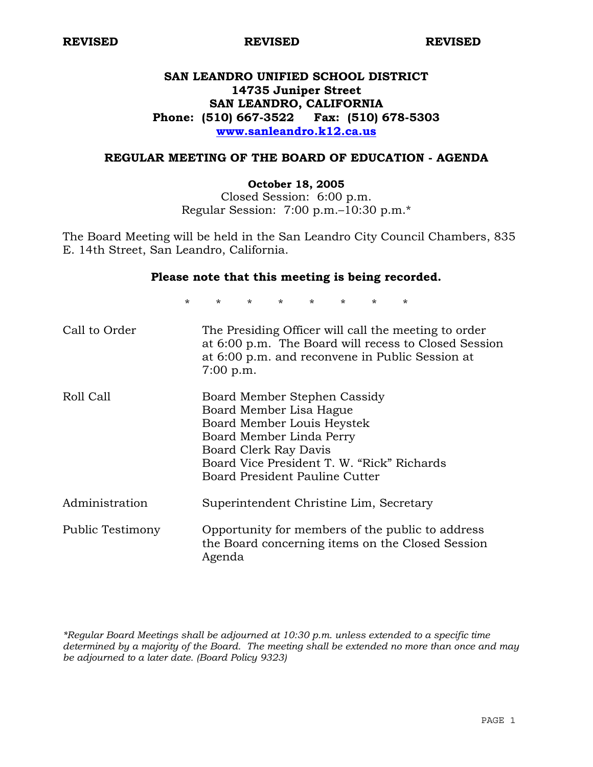# **SAN LEANDRO UNIFIED SCHOOL DISTRICT 14735 Juniper Street SAN LEANDRO, CALIFORNIA Phone: (510) 667-3522 Fax: (510) 678-5303 www.sanleandro.k12.ca.us**

## **REGULAR MEETING OF THE BOARD OF EDUCATION - AGENDA**

### **October 18, 2005**

Closed Session: 6:00 p.m. Regular Session: 7:00 p.m.–10:30 p.m.\*

The Board Meeting will be held in the San Leandro City Council Chambers, 835 E. 14th Street, San Leandro, California.

### **Please note that this meeting is being recorded.**

\* \* \* \* \* \* \* \* Call to Order The Presiding Officer will call the meeting to order at 6:00 p.m. The Board will recess to Closed Session at 6:00 p.m. and reconvene in Public Session at 7:00 p.m. Roll Call Board Member Stephen Cassidy Board Mambar Lis

|                  | Board Member Lisa Hague                                                                                        |
|------------------|----------------------------------------------------------------------------------------------------------------|
|                  | Board Member Louis Heystek                                                                                     |
|                  | Board Member Linda Perry                                                                                       |
|                  | Board Clerk Ray Davis                                                                                          |
|                  | Board Vice President T. W. "Rick" Richards                                                                     |
|                  | Board President Pauline Cutter                                                                                 |
| Administration   | Superintendent Christine Lim, Secretary                                                                        |
| Public Testimony | Opportunity for members of the public to address<br>the Board concerning items on the Closed Session<br>Agenda |

*\*Regular Board Meetings shall be adjourned at 10:30 p.m. unless extended to a specific time determined by a majority of the Board. The meeting shall be extended no more than once and may be adjourned to a later date. (Board Policy 9323)*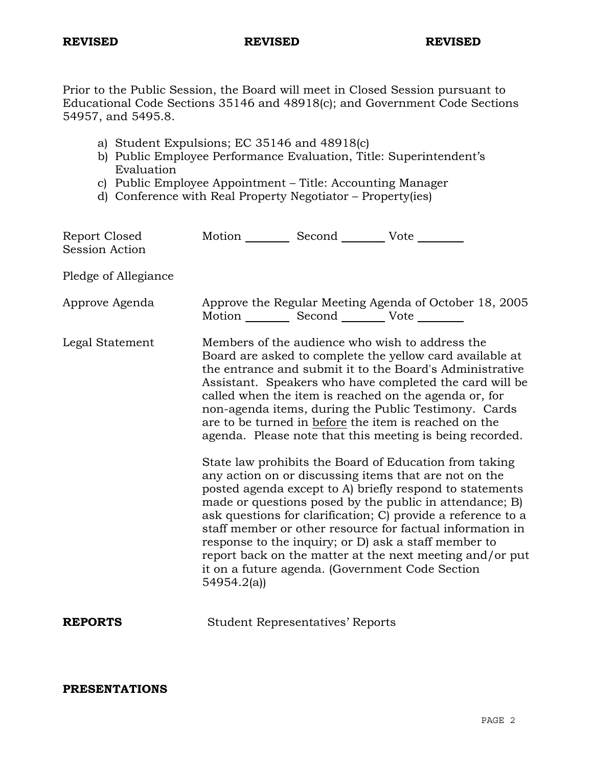Prior to the Public Session, the Board will meet in Closed Session pursuant to Educational Code Sections 35146 and 48918(c); and Government Code Sections 54957, and 5495.8.

- a) Student Expulsions; EC 35146 and 48918(c)
- b) Public Employee Performance Evaluation, Title: Superintendent's Evaluation
- c) Public Employee Appointment Title: Accounting Manager
- d) Conference with Real Property Negotiator Property(ies)

| Report Closed<br><b>Session Action</b> | Motion ___________ Second ____________ Vote _________                                                                                                                                                                                                                                                                                                                                                                                                                    |                                         |                                                                                                                                                                                                                                                                                                                                                                                                                                                                                                                                            |
|----------------------------------------|--------------------------------------------------------------------------------------------------------------------------------------------------------------------------------------------------------------------------------------------------------------------------------------------------------------------------------------------------------------------------------------------------------------------------------------------------------------------------|-----------------------------------------|--------------------------------------------------------------------------------------------------------------------------------------------------------------------------------------------------------------------------------------------------------------------------------------------------------------------------------------------------------------------------------------------------------------------------------------------------------------------------------------------------------------------------------------------|
| Pledge of Allegiance                   |                                                                                                                                                                                                                                                                                                                                                                                                                                                                          |                                         |                                                                                                                                                                                                                                                                                                                                                                                                                                                                                                                                            |
| Approve Agenda                         | Motion __________ Second __________ Vote ________                                                                                                                                                                                                                                                                                                                                                                                                                        |                                         | Approve the Regular Meeting Agenda of October 18, 2005                                                                                                                                                                                                                                                                                                                                                                                                                                                                                     |
| Legal Statement                        | Members of the audience who wish to address the<br>Board are asked to complete the yellow card available at<br>the entrance and submit it to the Board's Administrative<br>Assistant. Speakers who have completed the card will be<br>called when the item is reached on the agenda or, for<br>non-agenda items, during the Public Testimony. Cards<br>are to be turned in before the item is reached on the<br>agenda. Please note that this meeting is being recorded. |                                         |                                                                                                                                                                                                                                                                                                                                                                                                                                                                                                                                            |
|                                        | 54954.2(a)                                                                                                                                                                                                                                                                                                                                                                                                                                                               |                                         | State law prohibits the Board of Education from taking<br>any action on or discussing items that are not on the<br>posted agenda except to A) briefly respond to statements<br>made or questions posed by the public in attendance; B)<br>ask questions for clarification; C) provide a reference to a<br>staff member or other resource for factual information in<br>response to the inquiry; or D) ask a staff member to<br>report back on the matter at the next meeting and/or put<br>it on a future agenda. (Government Code Section |
| <b>REPORTS</b>                         |                                                                                                                                                                                                                                                                                                                                                                                                                                                                          | <b>Student Representatives' Reports</b> |                                                                                                                                                                                                                                                                                                                                                                                                                                                                                                                                            |

**PRESENTATIONS**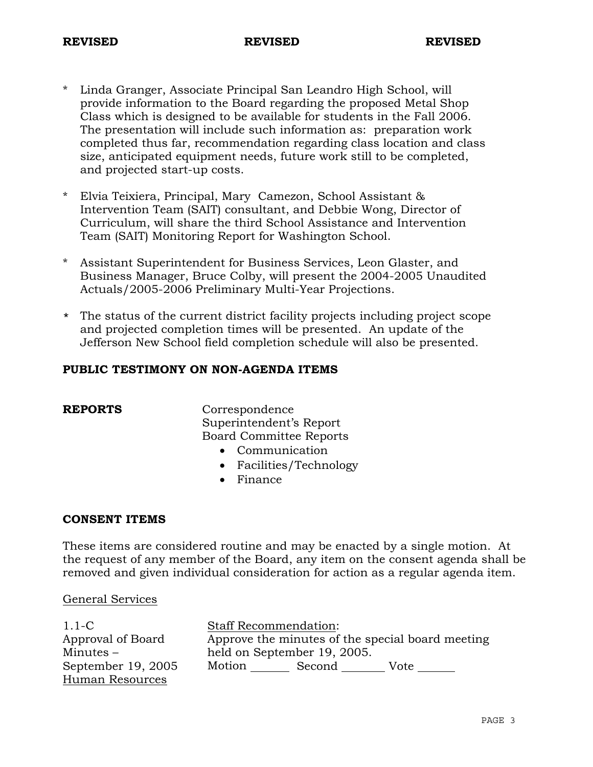- \* Linda Granger, Associate Principal San Leandro High School, will provide information to the Board regarding the proposed Metal Shop Class which is designed to be available for students in the Fall 2006. The presentation will include such information as: preparation work completed thus far, recommendation regarding class location and class size, anticipated equipment needs, future work still to be completed, and projected start-up costs.
- \* Elvia Teixiera, Principal, Mary Camezon, School Assistant & Intervention Team (SAIT) consultant, and Debbie Wong, Director of Curriculum, will share the third School Assistance and Intervention Team (SAIT) Monitoring Report for Washington School.
- \* Assistant Superintendent for Business Services, Leon Glaster, and Business Manager, Bruce Colby, will present the 2004-2005 Unaudited Actuals/2005-2006 Preliminary Multi-Year Projections.
- \* The status of the current district facility projects including project scope and projected completion times will be presented. An update of the Jefferson New School field completion schedule will also be presented.

## **PUBLIC TESTIMONY ON NON-AGENDA ITEMS**

**REPORTS** Correspondence Superintendent's Report Board Committee Reports

- Communication
- Facilities/Technology
- Finance

### **CONSENT ITEMS**

These items are considered routine and may be enacted by a single motion. At the request of any member of the Board, any item on the consent agenda shall be removed and given individual consideration for action as a regular agenda item.

### General Services

| $1.1-C$            |                                                  | <b>Staff Recommendation:</b> |      |  |
|--------------------|--------------------------------------------------|------------------------------|------|--|
| Approval of Board  | Approve the minutes of the special board meeting |                              |      |  |
| $Minutes -$        |                                                  | held on September 19, 2005.  |      |  |
| September 19, 2005 | Motion                                           | Second                       | Vote |  |
| Human Resources    |                                                  |                              |      |  |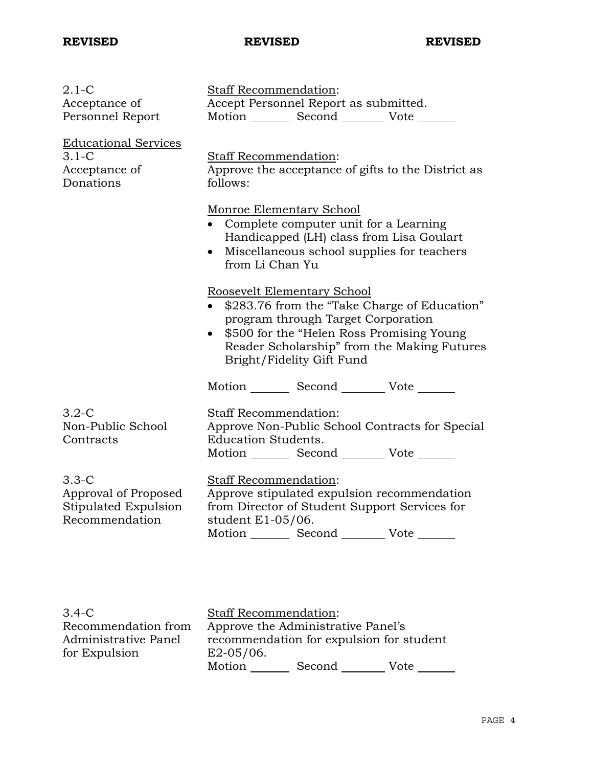| $2.1-C$<br>Acceptance of<br>Personnel Report                              | Staff Recommendation:<br>Accept Personnel Report as submitted.<br>Motion _________ Second __________ Vote ______                                                                                                                                                                                                                                                                                                                                                                                                                                    |  |  |
|---------------------------------------------------------------------------|-----------------------------------------------------------------------------------------------------------------------------------------------------------------------------------------------------------------------------------------------------------------------------------------------------------------------------------------------------------------------------------------------------------------------------------------------------------------------------------------------------------------------------------------------------|--|--|
| <b>Educational Services</b><br>$3.1-C$<br>Acceptance of<br>Donations      | Staff Recommendation:<br>Approve the acceptance of gifts to the District as<br>follows:<br>Monroe Elementary School<br>• Complete computer unit for a Learning<br>Handicapped (LH) class from Lisa Goulart<br>Miscellaneous school supplies for teachers<br>$\bullet$<br>from Li Chan Yu<br>Roosevelt Elementary School<br>\$283.76 from the "Take Charge of Education"<br>program through Target Corporation<br>\$500 for the "Helen Ross Promising Young<br>$\bullet$<br>Reader Scholarship" from the Making Futures<br>Bright/Fidelity Gift Fund |  |  |
|                                                                           |                                                                                                                                                                                                                                                                                                                                                                                                                                                                                                                                                     |  |  |
|                                                                           |                                                                                                                                                                                                                                                                                                                                                                                                                                                                                                                                                     |  |  |
|                                                                           | Motion Second Vote                                                                                                                                                                                                                                                                                                                                                                                                                                                                                                                                  |  |  |
| $3.2-C$<br>Non-Public School<br>Contracts                                 | Staff Recommendation:<br>Approve Non-Public School Contracts for Special<br><b>Education Students.</b><br>Motion _________ Second __________ Vote ________                                                                                                                                                                                                                                                                                                                                                                                          |  |  |
| $3.3-C$<br>Approval of Proposed<br>Stipulated Expulsion<br>Recommendation | Staff Recommendation:<br>Approve stipulated expulsion recommendation<br>from Director of Student Support Services for<br>student E1-05/06.<br>Motion _________ Second _________ Vote _______                                                                                                                                                                                                                                                                                                                                                        |  |  |

| $3.4 - C$            | <b>Staff Recommendation:</b>             |        |      |
|----------------------|------------------------------------------|--------|------|
| Recommendation from  | Approve the Administrative Panel's       |        |      |
| Administrative Panel | recommendation for expulsion for student |        |      |
| for Expulsion        | $E2-05/06$ .                             |        |      |
|                      | Motion                                   | Second | Vote |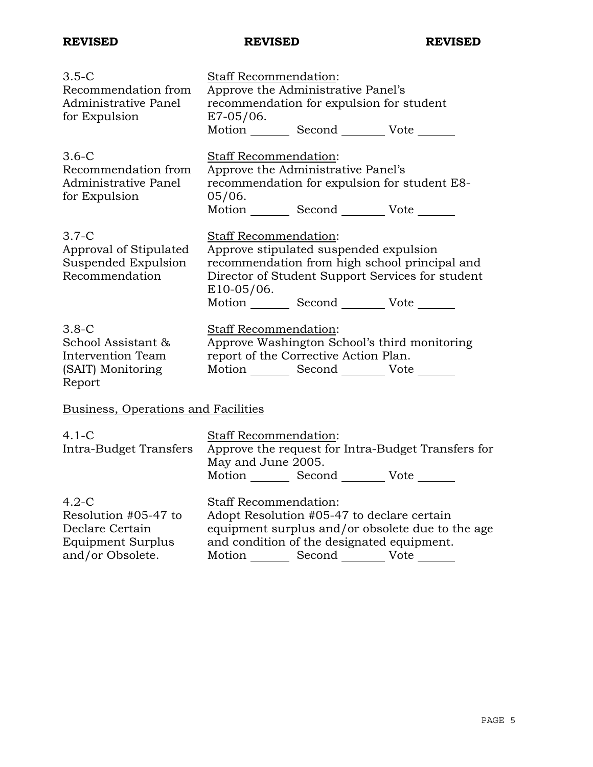| $3.5-C$<br>Recommendation from<br>Administrative Panel<br>for Expulsion                     | Staff Recommendation:<br>Approve the Administrative Panel's<br>recommendation for expulsion for student<br>$E7-05/06$ .<br>Motion _________ Second __________ Vote _______                                                               |  |  |
|---------------------------------------------------------------------------------------------|------------------------------------------------------------------------------------------------------------------------------------------------------------------------------------------------------------------------------------------|--|--|
| $3.6-C$<br>Recommendation from<br>Administrative Panel<br>for Expulsion                     | Staff Recommendation:<br>Approve the Administrative Panel's<br>recommendation for expulsion for student E8-<br>05/06.<br>Motion _________ Second __________ Vote _______                                                                 |  |  |
| $3.7-C$<br>Approval of Stipulated<br>Suspended Expulsion<br>Recommendation                  | Staff Recommendation:<br>Approve stipulated suspended expulsion<br>recommendation from high school principal and<br>Director of Student Support Services for student<br>$E10-05/06$ .<br>Motion _________ Second __________ Vote _______ |  |  |
| $3.8-C$<br>School Assistant &<br>Intervention Team<br>(SAIT) Monitoring<br>Report           | Staff Recommendation:<br>Approve Washington School's third monitoring<br>report of the Corrective Action Plan.<br>Motion Second Vote                                                                                                     |  |  |
| Business, Operations and Facilities                                                         |                                                                                                                                                                                                                                          |  |  |
| $4.1 - C$<br>Intra-Budget Transfers                                                         | Staff Recommendation:<br>Approve the request for Intra-Budget Transfers for<br>May and June 2005.<br>Motion Second Vote                                                                                                                  |  |  |
| $4.2-C$<br>Resolution #05-47 to<br>Declare Certain<br>Equipment Surplus<br>and/or Obsolete. | <b>Staff Recommendation:</b><br>Adopt Resolution #05-47 to declare certain<br>equipment surplus and/or obsolete due to the age<br>and condition of the designated equipment.<br>Motion _________ Second ___________ Vote _______         |  |  |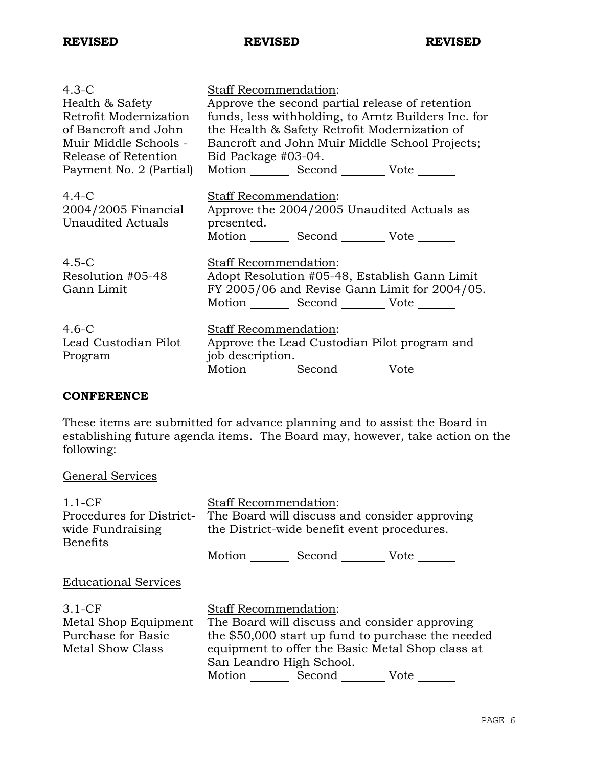| $4.3-C$                                                     | Staff Recommendation:                               |  |  |  |
|-------------------------------------------------------------|-----------------------------------------------------|--|--|--|
| Health & Safety                                             | Approve the second partial release of retention     |  |  |  |
| Retrofit Modernization                                      | funds, less withholding, to Arntz Builders Inc. for |  |  |  |
| of Bancroft and John                                        | the Health & Safety Retrofit Modernization of       |  |  |  |
| Muir Middle Schools -                                       | Bancroft and John Muir Middle School Projects;      |  |  |  |
| Release of Retention                                        | Bid Package #03-04.                                 |  |  |  |
| Payment No. 2 (Partial)                                     | Motion _________ Second __________ Vote _______     |  |  |  |
|                                                             |                                                     |  |  |  |
| $4.4 - C$                                                   | Staff Recommendation:                               |  |  |  |
| 2004/2005 Financial                                         | Approve the 2004/2005 Unaudited Actuals as          |  |  |  |
| <b>Unaudited Actuals</b>                                    | presented.                                          |  |  |  |
|                                                             | Motion _________ Second _________ Vote _______      |  |  |  |
| $4.5-C$                                                     | Staff Recommendation:                               |  |  |  |
| Resolution #05-48                                           | Adopt Resolution #05-48, Establish Gann Limit       |  |  |  |
| FY 2005/06 and Revise Gann Limit for 2004/05.<br>Gann Limit |                                                     |  |  |  |
|                                                             | Motion Second Vote ______                           |  |  |  |
|                                                             |                                                     |  |  |  |
| $4.6-C$                                                     | <b>Staff Recommendation:</b>                        |  |  |  |
| Lead Custodian Pilot                                        | Approve the Lead Custodian Pilot program and        |  |  |  |
| Program                                                     | job description.                                    |  |  |  |
|                                                             | Motion Second Vote                                  |  |  |  |

# **CONFERENCE**

These items are submitted for advance planning and to assist the Board in establishing future agenda items. The Board may, however, take action on the following:

# General Services

| $1.1-CF$<br>Procedures for District-<br>wide Fundraising<br><b>Benefits</b> | <b>Staff Recommendation:</b><br>The Board will discuss and consider approving<br>the District-wide benefit event procedures.<br>Motion<br>Second Vote                                                                                       |  |  |
|-----------------------------------------------------------------------------|---------------------------------------------------------------------------------------------------------------------------------------------------------------------------------------------------------------------------------------------|--|--|
| <b>Educational Services</b>                                                 |                                                                                                                                                                                                                                             |  |  |
| $3.1-CF$<br>Metal Shop Equipment<br>Purchase for Basic<br>Metal Show Class  | <b>Staff Recommendation:</b><br>The Board will discuss and consider approving<br>the \$50,000 start up fund to purchase the needed<br>equipment to offer the Basic Metal Shop class at<br>San Leandro High School.<br>Motion Second<br>Vote |  |  |